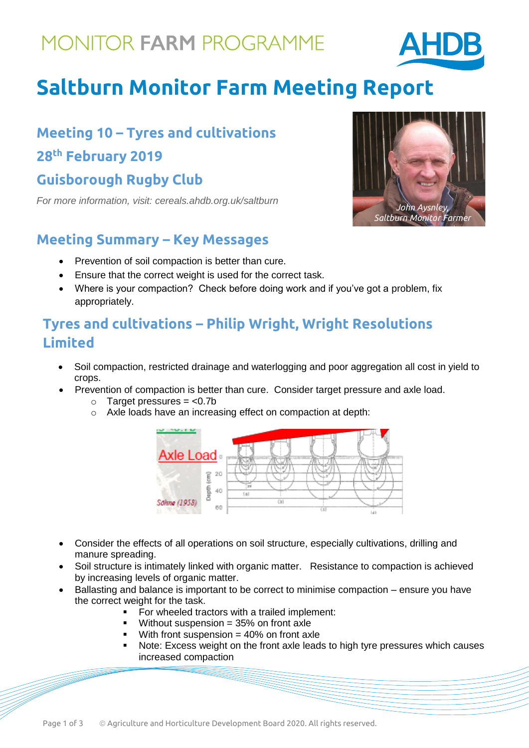# MONITOR FARM PROGRAMME



# **Saltburn Monitor Farm Meeting Report**

**Meeting 10 – Tyres and cultivations 28th February 2019 Guisborough Rugby Club**

*For more information, visit: cereals.ahdb.org.uk/saltburn*

#### **Meeting Summary – Key Messages**

- Prevention of soil compaction is better than cure.
- Ensure that the correct weight is used for the correct task.
- Where is your compaction? Check before doing work and if you've got a problem, fix appropriately.

### **Tyres and cultivations – Philip Wright, Wright Resolutions Limited**

- Soil compaction, restricted drainage and waterlogging and poor aggregation all cost in yield to crops.
- Prevention of compaction is better than cure. Consider target pressure and axle load.
	- $\circ$  Target pressures = <0.7b
	- o Axle loads have an increasing effect on compaction at depth:



- Consider the effects of all operations on soil structure, especially cultivations, drilling and manure spreading.
- Soil structure is intimately linked with organic matter. Resistance to compaction is achieved by increasing levels of organic matter.
- Ballasting and balance is important to be correct to minimise compaction ensure you have the correct weight for the task.
	- For wheeled tractors with a trailed implement:
	- Without suspension  $= 35\%$  on front axle
	- **With front suspension = 40% on front axle**
	- Note: Excess weight on the front axle leads to high tyre pressures which causes increased compaction

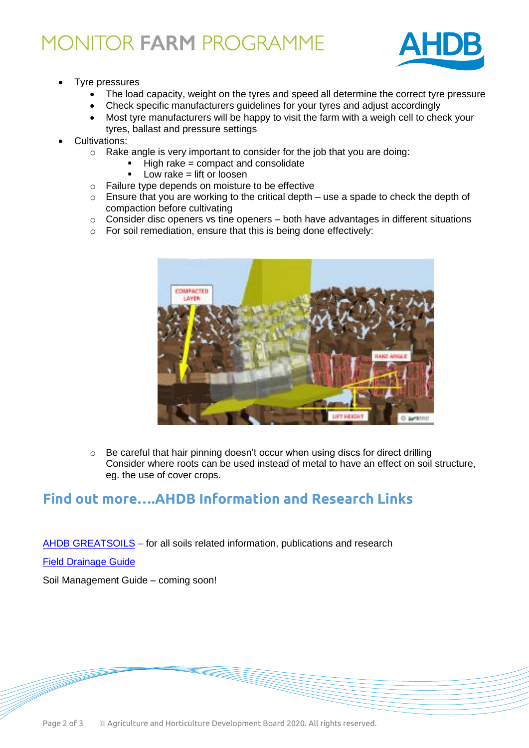## **MONITOR FARM PROGRAMME**



- Tyre pressures
	- The load capacity, weight on the tyres and speed all determine the correct tyre pressure
	- Check specific manufacturers guidelines for your tyres and adjust accordingly
	- Most tyre manufacturers will be happy to visit the farm with a weigh cell to check your tyres, ballast and pressure settings
- Cultivations:
	- o Rake angle is very important to consider for the job that you are doing:
		- $\blacksquare$  High rake = compact and consolidate
		- Low rake  $=$  lift or loosen
	- o Failure type depends on moisture to be effective
	- $\circ$  Ensure that you are working to the critical depth use a spade to check the depth of compaction before cultivating
	- o Consider disc openers vs tine openers both have advantages in different situations
	- o For soil remediation, ensure that this is being done effectively:



 $\circ$  Be careful that hair pinning doesn't occur when using discs for direct drilling Consider where roots can be used instead of metal to have an effect on soil structure. eg. the use of cover crops.

### **Find out more….AHDB Information and Research Links**

[AHDB GREATSOILS](https://ahdb.org.uk/greatsoils) – for all soils related information, publications and research

[Field Drainage Guide](https://ahdb.org.uk/knowledge-library/field-drainage-guide)

Soil Management Guide – coming soon!